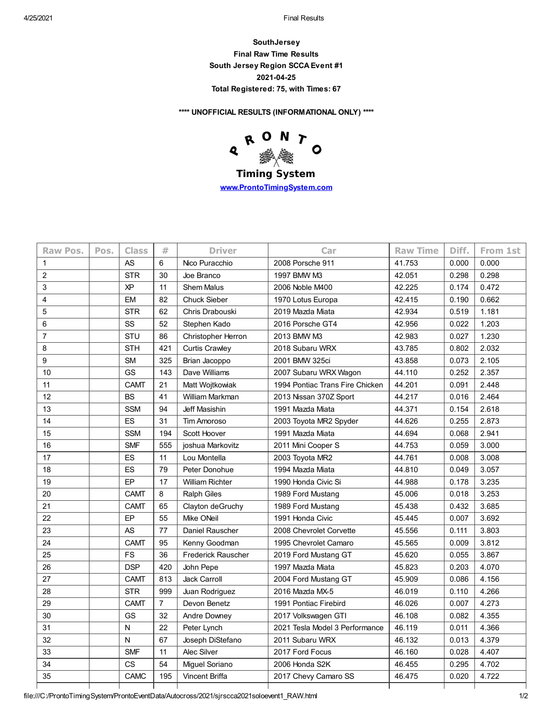4/25/2021 Final Results

**SouthJersey Final Raw Time Results South Jersey Region SCCA Event #1 2021-04-25 Total Registered: 75, with Times: 67**

**\*\*\*\* UNOFFICIAL RESULTS (INFORMATIONAL ONLY) \*\*\*\***



**Timing System [www.ProntoTimingSystem.com](http://www.prontotimingsystem.com/)**

| Raw Pos.       | Pos. | <b>Class</b> | #              | <b>Driver</b>             | Car                             | <b>Raw Time</b> | Diff. | From 1st |
|----------------|------|--------------|----------------|---------------------------|---------------------------------|-----------------|-------|----------|
| 1              |      | <b>AS</b>    | 6              | Nico Puracchio            | 2008 Porsche 911                | 41.753          | 0.000 | 0.000    |
| $\overline{c}$ |      | <b>STR</b>   | 30             | Joe Branco                | 1997 BMW M3                     | 42.051          | 0.298 | 0.298    |
| 3              |      | <b>XP</b>    | 11             | <b>Shem Malus</b>         | 2006 Noble M400                 | 42.225          | 0.174 | 0.472    |
| 4              |      | <b>EM</b>    | 82             | <b>Chuck Sieber</b>       | 1970 Lotus Europa               | 42.415          | 0.190 | 0.662    |
| 5              |      | <b>STR</b>   | 62             | Chris Drabouski           | 2019 Mazda Miata                | 42.934          | 0.519 | 1.181    |
| 6              |      | SS           | 52             | Stephen Kado              | 2016 Porsche GT4                | 42.956          | 0.022 | 1.203    |
| 7              |      | STU          | 86             | <b>Christopher Herron</b> | 2013 BMW M3                     | 42.983          | 0.027 | 1.230    |
| 8              |      | <b>STH</b>   | 421            | <b>Curtis Crawley</b>     | 2018 Subaru WRX                 | 43.785          | 0.802 | 2.032    |
| 9              |      | <b>SM</b>    | 325            | Brian Jacoppo             | 2001 BMW 325ci                  | 43.858          | 0.073 | 2.105    |
| 10             |      | GS           | 143            | Dave Williams             | 2007 Subaru WRX Wagon           | 44.110          | 0.252 | 2.357    |
| 11             |      | <b>CAMT</b>  | 21             | Matt Wojtkowiak           | 1994 Pontiac Trans Fire Chicken | 44.201          | 0.091 | 2.448    |
| 12             |      | <b>BS</b>    | 41             | William Markman           | 2013 Nissan 370Z Sport          | 44.217          | 0.016 | 2.464    |
| 13             |      | <b>SSM</b>   | 94             | Jeff Masishin             | 1991 Mazda Miata                | 44.371          | 0.154 | 2.618    |
| 14             |      | ES           | 31             | <b>Tim Amoroso</b>        | 2003 Toyota MR2 Spyder          | 44.626          | 0.255 | 2.873    |
| 15             |      | <b>SSM</b>   | 194            | Scott Hoover              | 1991 Mazda Miata                | 44.694          | 0.068 | 2.941    |
| 16             |      | <b>SMF</b>   | 555            | joshua Markovitz          | 2011 Mini Cooper S              | 44.753          | 0.059 | 3.000    |
| 17             |      | ES           | 11             | Lou Montella              | 2003 Toyota MR2                 | 44.761          | 0.008 | 3.008    |
| 18             |      | ES           | 79             | Peter Donohue             | 1994 Mazda Miata                | 44.810          | 0.049 | 3.057    |
| 19             |      | EP           | 17             | <b>William Richter</b>    | 1990 Honda Civic Si             | 44.988          | 0.178 | 3.235    |
| 20             |      | <b>CAMT</b>  | 8              | <b>Ralph Giles</b>        | 1989 Ford Mustang               | 45.006          | 0.018 | 3.253    |
| 21             |      | <b>CAMT</b>  | 65             | Clayton deGruchy          | 1989 Ford Mustang               | 45.438          | 0.432 | 3.685    |
| 22             |      | EP           | 55             | <b>Mike ONeil</b>         | 1991 Honda Civic                | 45.445          | 0.007 | 3.692    |
| 23             |      | <b>AS</b>    | 77             | Daniel Rauscher           | 2008 Chevrolet Corvette         | 45.556          | 0.111 | 3.803    |
| 24             |      | <b>CAMT</b>  | 95             | Kenny Goodman             | 1995 Chevrolet Camaro           | 45.565          | 0.009 | 3.812    |
| 25             |      | <b>FS</b>    | 36             | <b>Frederick Rauscher</b> | 2019 Ford Mustang GT            | 45.620          | 0.055 | 3.867    |
| 26             |      | <b>DSP</b>   | 420            | John Pepe                 | 1997 Mazda Miata                | 45.823          | 0.203 | 4.070    |
| 27             |      | <b>CAMT</b>  | 813            | Jack Carroll              | 2004 Ford Mustang GT            | 45.909          | 0.086 | 4.156    |
| 28             |      | <b>STR</b>   | 999            | Juan Rodriguez            | 2016 Mazda MX-5                 | 46.019          | 0.110 | 4.266    |
| 29             |      | <b>CAMT</b>  | $\overline{7}$ | Devon Benetz              | 1991 Pontiac Firebird           | 46.026          | 0.007 | 4.273    |
| 30             |      | GS           | 32             | Andre Downey              | 2017 Volkswagen GTI             | 46.108          | 0.082 | 4.355    |
| 31             |      | N            | 22             | Peter Lynch               | 2021 Tesla Model 3 Performance  | 46.119          | 0.011 | 4.366    |
| 32             |      | N            | 67             | Joseph DiStefano          | 2011 Subaru WRX                 | 46.132          | 0.013 | 4.379    |
| 33             |      | <b>SMF</b>   | 11             | Alec Silver               | 2017 Ford Focus                 | 46.160          | 0.028 | 4.407    |
| 34             |      | <b>CS</b>    | 54             | Miguel Soriano            | 2006 Honda S2K                  | 46.455          | 0.295 | 4.702    |
| 35             |      | CAMC         | 195            | Vincent Briffa            | 2017 Chevy Camaro SS            | 46.475          | 0.020 | 4.722    |
|                |      |              |                |                           |                                 |                 |       |          |